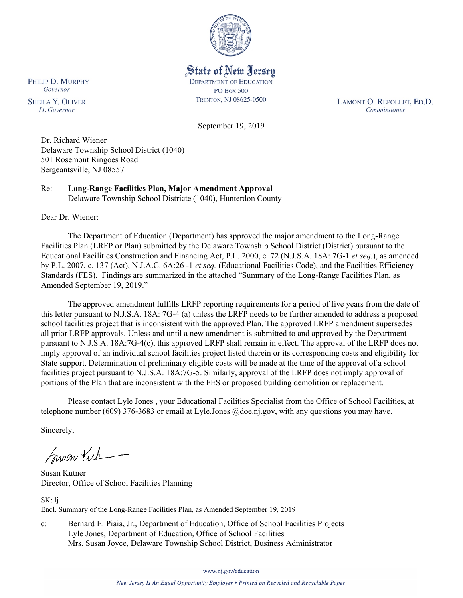

State of New Jersey **DEPARTMENT OF EDUCATION PO Box 500** TRENTON, NJ 08625-0500

LAMONT O. REPOLLET, ED.D. Commissioner

September 19, 2019

Dr. Richard Wiener Delaware Township School District (1040) 501 Rosemont Ringoes Road Sergeantsville, NJ 08557

Re: **Long-Range Facilities Plan, Major Amendment Approval** Delaware Township School Districte (1040), Hunterdon County

Dear Dr. Wiener:

The Department of Education (Department) has approved the major amendment to the Long-Range Facilities Plan (LRFP or Plan) submitted by the Delaware Township School District (District) pursuant to the Educational Facilities Construction and Financing Act, P.L. 2000, c. 72 (N.J.S.A. 18A: 7G-1 *et seq.*), as amended by P.L. 2007, c. 137 (Act), N.J.A.C. 6A:26 -1 *et seq.* (Educational Facilities Code), and the Facilities Efficiency Standards (FES). Findings are summarized in the attached "Summary of the Long-Range Facilities Plan, as Amended September 19, 2019."

The approved amendment fulfills LRFP reporting requirements for a period of five years from the date of this letter pursuant to N.J.S.A. 18A: 7G-4 (a) unless the LRFP needs to be further amended to address a proposed school facilities project that is inconsistent with the approved Plan. The approved LRFP amendment supersedes all prior LRFP approvals. Unless and until a new amendment is submitted to and approved by the Department pursuant to N.J.S.A. 18A:7G-4(c), this approved LRFP shall remain in effect. The approval of the LRFP does not imply approval of an individual school facilities project listed therein or its corresponding costs and eligibility for State support. Determination of preliminary eligible costs will be made at the time of the approval of a school facilities project pursuant to N.J.S.A. 18A:7G-5. Similarly, approval of the LRFP does not imply approval of portions of the Plan that are inconsistent with the FES or proposed building demolition or replacement.

Please contact Lyle Jones , your Educational Facilities Specialist from the Office of School Facilities, at telephone number (609) 376-3683 or email at Lyle.Jones @doe.nj.gov, with any questions you may have.

Sincerely,

Susan Kich

Susan Kutner Director, Office of School Facilities Planning

SK: lj Encl. Summary of the Long-Range Facilities Plan, as Amended September 19, 2019

c: Bernard E. Piaia, Jr., Department of Education, Office of School Facilities Projects Lyle Jones, Department of Education, Office of School Facilities Mrs. Susan Joyce, Delaware Township School District, Business Administrator

www.nj.gov/education

PHILIP D. MURPHY Governor

**SHEILA Y. OLIVER** Lt. Governor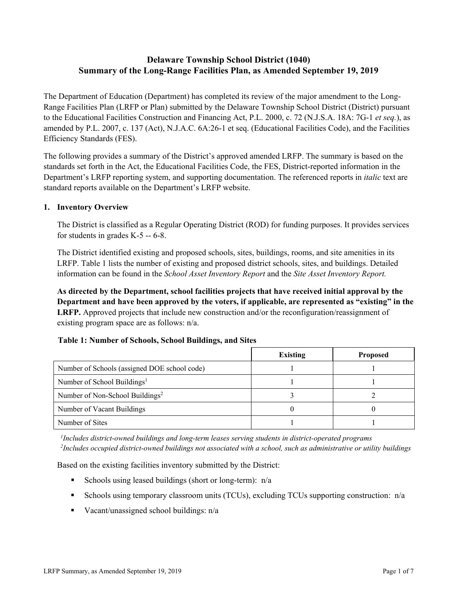# **Delaware Township School District (1040) Summary of the Long-Range Facilities Plan, as Amended September 19, 2019**

The Department of Education (Department) has completed its review of the major amendment to the Long-Range Facilities Plan (LRFP or Plan) submitted by the Delaware Township School District (District) pursuant to the Educational Facilities Construction and Financing Act, P.L. 2000, c. 72 (N.J.S.A. 18A: 7G-1 *et seq.*), as amended by P.L. 2007, c. 137 (Act), N.J.A.C. 6A:26-1 et seq. (Educational Facilities Code), and the Facilities Efficiency Standards (FES).

The following provides a summary of the District's approved amended LRFP. The summary is based on the standards set forth in the Act, the Educational Facilities Code, the FES, District-reported information in the Department's LRFP reporting system, and supporting documentation. The referenced reports in *italic* text are standard reports available on the Department's LRFP website.

### **1. Inventory Overview**

The District is classified as a Regular Operating District (ROD) for funding purposes. It provides services for students in grades K-5 -- 6-8.

The District identified existing and proposed schools, sites, buildings, rooms, and site amenities in its LRFP. Table 1 lists the number of existing and proposed district schools, sites, and buildings. Detailed information can be found in the *School Asset Inventory Report* and the *Site Asset Inventory Report.*

**As directed by the Department, school facilities projects that have received initial approval by the Department and have been approved by the voters, if applicable, are represented as "existing" in the LRFP.** Approved projects that include new construction and/or the reconfiguration/reassignment of existing program space are as follows: n/a.

### **Table 1: Number of Schools, School Buildings, and Sites**

|                                              | <b>Existing</b> | <b>Proposed</b> |
|----------------------------------------------|-----------------|-----------------|
| Number of Schools (assigned DOE school code) |                 |                 |
| Number of School Buildings <sup>1</sup>      |                 |                 |
| Number of Non-School Buildings <sup>2</sup>  |                 |                 |
| Number of Vacant Buildings                   |                 |                 |
| Number of Sites                              |                 |                 |

*1 Includes district-owned buildings and long-term leases serving students in district-operated programs 2 Includes occupied district-owned buildings not associated with a school, such as administrative or utility buildings*

Based on the existing facilities inventory submitted by the District:

- Schools using leased buildings (short or long-term):  $n/a$
- Schools using temporary classroom units (TCUs), excluding TCUs supporting construction:  $n/a$
- Vacant/unassigned school buildings:  $n/a$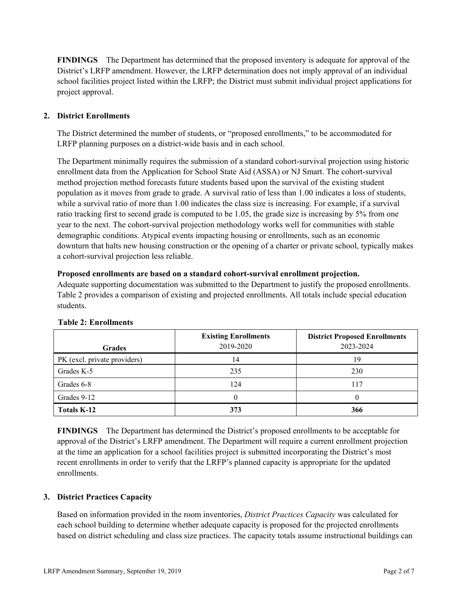**FINDINGS** The Department has determined that the proposed inventory is adequate for approval of the District's LRFP amendment. However, the LRFP determination does not imply approval of an individual school facilities project listed within the LRFP; the District must submit individual project applications for project approval.

# **2. District Enrollments**

The District determined the number of students, or "proposed enrollments," to be accommodated for LRFP planning purposes on a district-wide basis and in each school.

The Department minimally requires the submission of a standard cohort-survival projection using historic enrollment data from the Application for School State Aid (ASSA) or NJ Smart. The cohort-survival method projection method forecasts future students based upon the survival of the existing student population as it moves from grade to grade. A survival ratio of less than 1.00 indicates a loss of students, while a survival ratio of more than 1.00 indicates the class size is increasing. For example, if a survival ratio tracking first to second grade is computed to be 1.05, the grade size is increasing by 5% from one year to the next. The cohort-survival projection methodology works well for communities with stable demographic conditions. Atypical events impacting housing or enrollments, such as an economic downturn that halts new housing construction or the opening of a charter or private school, typically makes a cohort-survival projection less reliable.

### **Proposed enrollments are based on a standard cohort-survival enrollment projection.**

Adequate supporting documentation was submitted to the Department to justify the proposed enrollments. Table 2 provides a comparison of existing and projected enrollments. All totals include special education students.

| <b>Grades</b>                | <b>Existing Enrollments</b><br>2019-2020 | <b>District Proposed Enrollments</b><br>2023-2024 |
|------------------------------|------------------------------------------|---------------------------------------------------|
| PK (excl. private providers) | 14                                       | 19                                                |
| Grades K-5                   | 235                                      | 230                                               |
| Grades 6-8                   | 124                                      | 117                                               |
| Grades 9-12                  |                                          |                                                   |
| <b>Totals K-12</b>           | 373                                      | 366                                               |

### **Table 2: Enrollments**

**FINDINGS** The Department has determined the District's proposed enrollments to be acceptable for approval of the District's LRFP amendment. The Department will require a current enrollment projection at the time an application for a school facilities project is submitted incorporating the District's most recent enrollments in order to verify that the LRFP's planned capacity is appropriate for the updated enrollments.

### **3. District Practices Capacity**

Based on information provided in the room inventories, *District Practices Capacity* was calculated for each school building to determine whether adequate capacity is proposed for the projected enrollments based on district scheduling and class size practices. The capacity totals assume instructional buildings can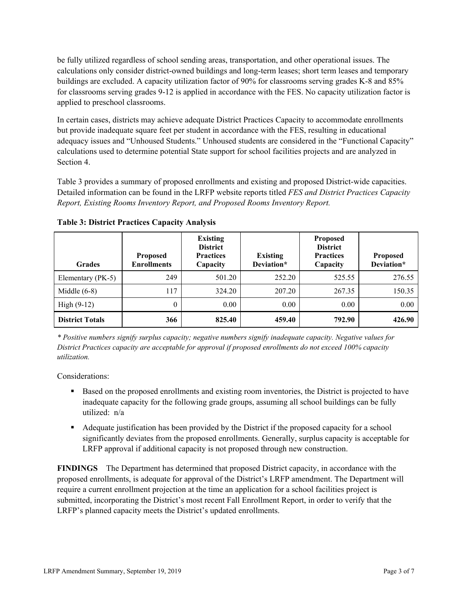be fully utilized regardless of school sending areas, transportation, and other operational issues. The calculations only consider district-owned buildings and long-term leases; short term leases and temporary buildings are excluded. A capacity utilization factor of 90% for classrooms serving grades K-8 and 85% for classrooms serving grades 9-12 is applied in accordance with the FES. No capacity utilization factor is applied to preschool classrooms.

In certain cases, districts may achieve adequate District Practices Capacity to accommodate enrollments but provide inadequate square feet per student in accordance with the FES, resulting in educational adequacy issues and "Unhoused Students." Unhoused students are considered in the "Functional Capacity" calculations used to determine potential State support for school facilities projects and are analyzed in Section 4.

Table 3 provides a summary of proposed enrollments and existing and proposed District-wide capacities. Detailed information can be found in the LRFP website reports titled *FES and District Practices Capacity Report, Existing Rooms Inventory Report, and Proposed Rooms Inventory Report.*

| <b>Grades</b>          | <b>Proposed</b><br><b>Enrollments</b> | <b>Existing</b><br><b>District</b><br><b>Practices</b><br>Capacity | <b>Existing</b><br>Deviation* | <b>Proposed</b><br><b>District</b><br><b>Practices</b><br>Capacity | <b>Proposed</b><br>Deviation* |
|------------------------|---------------------------------------|--------------------------------------------------------------------|-------------------------------|--------------------------------------------------------------------|-------------------------------|
| Elementary (PK-5)      | 249                                   | 501.20                                                             | 252.20                        | 525.55                                                             | 276.55                        |
| Middle $(6-8)$         | 117                                   | 324.20                                                             | 207.20                        | 267.35                                                             | 150.35                        |
| High $(9-12)$          | $\theta$                              | 0.00                                                               | 0.00                          | 0.00                                                               | 0.00                          |
| <b>District Totals</b> | 366                                   | 825.40                                                             | 459.40                        | 792.90                                                             | 426.90                        |

**Table 3: District Practices Capacity Analysis**

*\* Positive numbers signify surplus capacity; negative numbers signify inadequate capacity. Negative values for District Practices capacity are acceptable for approval if proposed enrollments do not exceed 100% capacity utilization.*

Considerations:

- Based on the proposed enrollments and existing room inventories, the District is projected to have inadequate capacity for the following grade groups, assuming all school buildings can be fully utilized: n/a
- Adequate justification has been provided by the District if the proposed capacity for a school significantly deviates from the proposed enrollments. Generally, surplus capacity is acceptable for LRFP approval if additional capacity is not proposed through new construction.

**FINDINGS**The Department has determined that proposed District capacity, in accordance with the proposed enrollments, is adequate for approval of the District's LRFP amendment. The Department will require a current enrollment projection at the time an application for a school facilities project is submitted, incorporating the District's most recent Fall Enrollment Report, in order to verify that the LRFP's planned capacity meets the District's updated enrollments.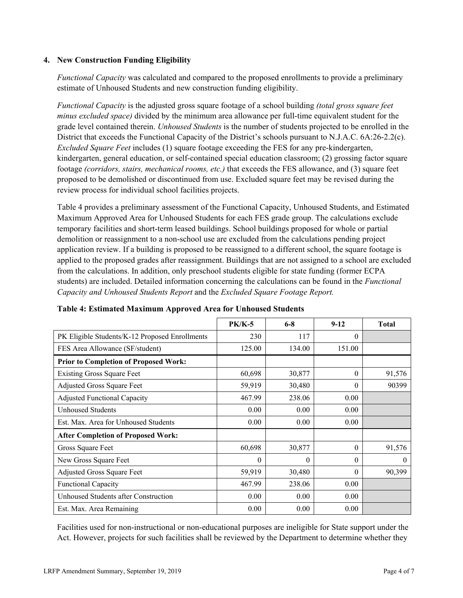### **4. New Construction Funding Eligibility**

*Functional Capacity* was calculated and compared to the proposed enrollments to provide a preliminary estimate of Unhoused Students and new construction funding eligibility.

*Functional Capacity* is the adjusted gross square footage of a school building *(total gross square feet minus excluded space)* divided by the minimum area allowance per full-time equivalent student for the grade level contained therein. *Unhoused Students* is the number of students projected to be enrolled in the District that exceeds the Functional Capacity of the District's schools pursuant to N.J.A.C. 6A:26-2.2(c). *Excluded Square Feet* includes (1) square footage exceeding the FES for any pre-kindergarten, kindergarten, general education, or self-contained special education classroom; (2) grossing factor square footage *(corridors, stairs, mechanical rooms, etc.)* that exceeds the FES allowance, and (3) square feet proposed to be demolished or discontinued from use. Excluded square feet may be revised during the review process for individual school facilities projects.

Table 4 provides a preliminary assessment of the Functional Capacity, Unhoused Students, and Estimated Maximum Approved Area for Unhoused Students for each FES grade group. The calculations exclude temporary facilities and short-term leased buildings. School buildings proposed for whole or partial demolition or reassignment to a non-school use are excluded from the calculations pending project application review. If a building is proposed to be reassigned to a different school, the square footage is applied to the proposed grades after reassignment. Buildings that are not assigned to a school are excluded from the calculations. In addition, only preschool students eligible for state funding (former ECPA students) are included. Detailed information concerning the calculations can be found in the *Functional Capacity and Unhoused Students Report* and the *Excluded Square Footage Report.*

|                                                | <b>PK/K-5</b> | $6 - 8$  | $9-12$   | <b>Total</b> |
|------------------------------------------------|---------------|----------|----------|--------------|
| PK Eligible Students/K-12 Proposed Enrollments | 230           | 117      | $\Omega$ |              |
| FES Area Allowance (SF/student)                | 125.00        | 134.00   | 151.00   |              |
| <b>Prior to Completion of Proposed Work:</b>   |               |          |          |              |
| <b>Existing Gross Square Feet</b>              | 60,698        | 30,877   | $\Omega$ | 91,576       |
| Adjusted Gross Square Feet                     | 59,919        | 30,480   | $\theta$ | 90399        |
| <b>Adjusted Functional Capacity</b>            | 467.99        | 238.06   | 0.00     |              |
| Unhoused Students                              | 0.00          | 0.00     | 0.00     |              |
| Est. Max. Area for Unhoused Students           | 0.00          | 0.00     | 0.00     |              |
| <b>After Completion of Proposed Work:</b>      |               |          |          |              |
| Gross Square Feet                              | 60,698        | 30,877   | $\Omega$ | 91,576       |
| New Gross Square Feet                          | 0             | $\theta$ | $\theta$ | $\theta$     |
| <b>Adjusted Gross Square Feet</b>              | 59,919        | 30,480   | $\Omega$ | 90,399       |
| Functional Capacity                            | 467.99        | 238.06   | 0.00     |              |
| Unhoused Students after Construction           | 0.00          | 0.00     | 0.00     |              |
| Est. Max. Area Remaining                       | 0.00          | 0.00     | 0.00     |              |

### **Table 4: Estimated Maximum Approved Area for Unhoused Students**

Facilities used for non-instructional or non-educational purposes are ineligible for State support under the Act. However, projects for such facilities shall be reviewed by the Department to determine whether they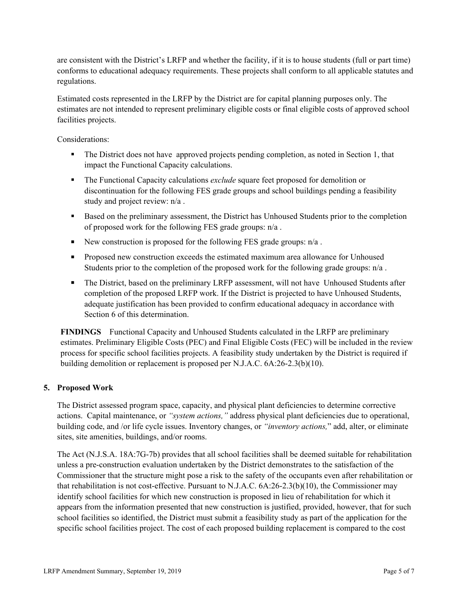are consistent with the District's LRFP and whether the facility, if it is to house students (full or part time) conforms to educational adequacy requirements. These projects shall conform to all applicable statutes and regulations.

Estimated costs represented in the LRFP by the District are for capital planning purposes only. The estimates are not intended to represent preliminary eligible costs or final eligible costs of approved school facilities projects.

Considerations:

- The District does not have approved projects pending completion, as noted in Section 1, that impact the Functional Capacity calculations.
- The Functional Capacity calculations *exclude* square feet proposed for demolition or discontinuation for the following FES grade groups and school buildings pending a feasibility study and project review: n/a .
- Based on the preliminary assessment, the District has Unhoused Students prior to the completion of proposed work for the following FES grade groups: n/a .
- New construction is proposed for the following FES grade groups:  $n/a$ .
- **Proposed new construction exceeds the estimated maximum area allowance for Unhoused** Students prior to the completion of the proposed work for the following grade groups: n/a .
- The District, based on the preliminary LRFP assessment, will not have Unhoused Students after completion of the proposed LRFP work. If the District is projected to have Unhoused Students, adequate justification has been provided to confirm educational adequacy in accordance with Section 6 of this determination.

**FINDINGS** Functional Capacity and Unhoused Students calculated in the LRFP are preliminary estimates. Preliminary Eligible Costs (PEC) and Final Eligible Costs (FEC) will be included in the review process for specific school facilities projects. A feasibility study undertaken by the District is required if building demolition or replacement is proposed per N.J.A.C. 6A:26-2.3(b)(10).

### **5. Proposed Work**

The District assessed program space, capacity, and physical plant deficiencies to determine corrective actions. Capital maintenance, or *"system actions,"* address physical plant deficiencies due to operational, building code, and /or life cycle issues. Inventory changes, or *"inventory actions,*" add, alter, or eliminate sites, site amenities, buildings, and/or rooms.

The Act (N.J.S.A. 18A:7G-7b) provides that all school facilities shall be deemed suitable for rehabilitation unless a pre-construction evaluation undertaken by the District demonstrates to the satisfaction of the Commissioner that the structure might pose a risk to the safety of the occupants even after rehabilitation or that rehabilitation is not cost-effective. Pursuant to N.J.A.C. 6A:26-2.3(b)(10), the Commissioner may identify school facilities for which new construction is proposed in lieu of rehabilitation for which it appears from the information presented that new construction is justified, provided, however, that for such school facilities so identified, the District must submit a feasibility study as part of the application for the specific school facilities project. The cost of each proposed building replacement is compared to the cost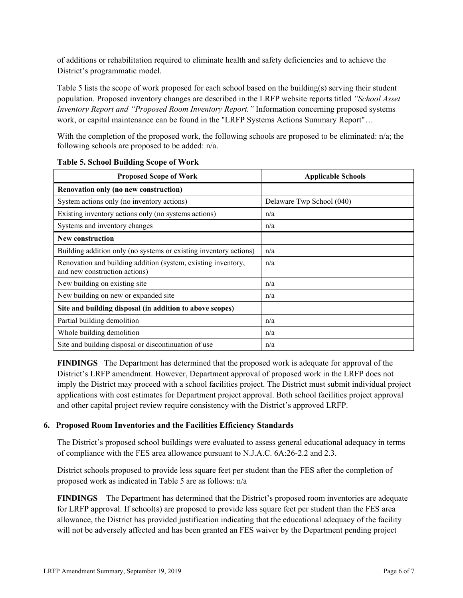of additions or rehabilitation required to eliminate health and safety deficiencies and to achieve the District's programmatic model.

Table 5 lists the scope of work proposed for each school based on the building(s) serving their student population. Proposed inventory changes are described in the LRFP website reports titled *"School Asset Inventory Report and "Proposed Room Inventory Report."* Information concerning proposed systems work, or capital maintenance can be found in the "LRFP Systems Actions Summary Report"…

With the completion of the proposed work, the following schools are proposed to be eliminated: n/a; the following schools are proposed to be added: n/a.

| <b>Proposed Scope of Work</b>                                                                  | <b>Applicable Schools</b> |
|------------------------------------------------------------------------------------------------|---------------------------|
| Renovation only (no new construction)                                                          |                           |
| System actions only (no inventory actions)                                                     | Delaware Twp School (040) |
| Existing inventory actions only (no systems actions)                                           | n/a                       |
| Systems and inventory changes                                                                  | n/a                       |
| <b>New construction</b>                                                                        |                           |
| Building addition only (no systems or existing inventory actions)                              | n/a                       |
| Renovation and building addition (system, existing inventory,<br>and new construction actions) | n/a                       |
| New building on existing site                                                                  | n/a                       |
| New building on new or expanded site                                                           | n/a                       |
| Site and building disposal (in addition to above scopes)                                       |                           |
| Partial building demolition                                                                    | n/a                       |
| Whole building demolition                                                                      | n/a                       |
| Site and building disposal or discontinuation of use                                           | n/a                       |

### **Table 5. School Building Scope of Work**

**FINDINGS** The Department has determined that the proposed work is adequate for approval of the District's LRFP amendment. However, Department approval of proposed work in the LRFP does not imply the District may proceed with a school facilities project. The District must submit individual project applications with cost estimates for Department project approval. Both school facilities project approval and other capital project review require consistency with the District's approved LRFP.

# **6. Proposed Room Inventories and the Facilities Efficiency Standards**

The District's proposed school buildings were evaluated to assess general educational adequacy in terms of compliance with the FES area allowance pursuant to N.J.A.C. 6A:26-2.2 and 2.3.

District schools proposed to provide less square feet per student than the FES after the completion of proposed work as indicated in Table 5 are as follows: n/a

**FINDINGS** The Department has determined that the District's proposed room inventories are adequate for LRFP approval. If school(s) are proposed to provide less square feet per student than the FES area allowance, the District has provided justification indicating that the educational adequacy of the facility will not be adversely affected and has been granted an FES waiver by the Department pending project